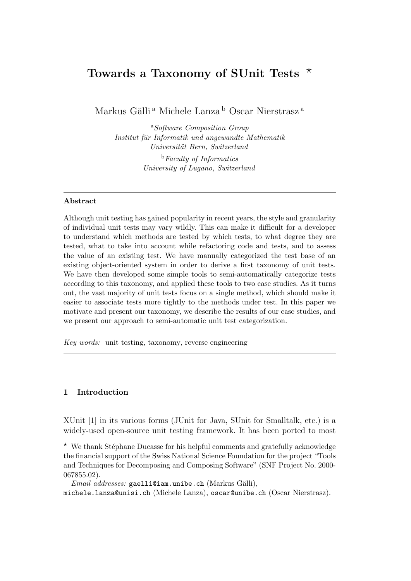# Towards a Taxonomy of SUnit Tests  $\star$

Markus Gälli $^{\rm a}$ Michele Lanza $^{\rm b}$ Oscar Nierstrasz $^{\rm a}$ 

<sup>a</sup>Software Composition Group Institut für Informatik und angewandte Mathematik Universität Bern, Switzerland

> <sup>b</sup>Faculty of Informatics University of Lugano, Switzerland

#### Abstract

Although unit testing has gained popularity in recent years, the style and granularity of individual unit tests may vary wildly. This can make it difficult for a developer to understand which methods are tested by which tests, to what degree they are tested, what to take into account while refactoring code and tests, and to assess the value of an existing test. We have manually categorized the test base of an existing object-oriented system in order to derive a first taxonomy of unit tests. We have then developed some simple tools to semi-automatically categorize tests according to this taxonomy, and applied these tools to two case studies. As it turns out, the vast majority of unit tests focus on a single method, which should make it easier to associate tests more tightly to the methods under test. In this paper we motivate and present our taxonomy, we describe the results of our case studies, and we present our approach to semi-automatic unit test categorization.

Key words: unit testing, taxonomy, reverse engineering

#### 1 Introduction

XUnit [1] in its various forms (JUnit for Java, SUnit for Smalltalk, etc.) is a widely-used open-source unit testing framework. It has been ported to most

 $*$  We thank Stéphane Ducasse for his helpful comments and gratefully acknowledge the financial support of the Swiss National Science Foundation for the project "Tools and Techniques for Decomposing and Composing Software" (SNF Project No. 2000- 067855.02).

 $Email \ addresses: \mathsf{gaellian.unibe.ch}$  (Markus Gälli),

michele.lanza@unisi.ch (Michele Lanza), oscar@unibe.ch (Oscar Nierstrasz).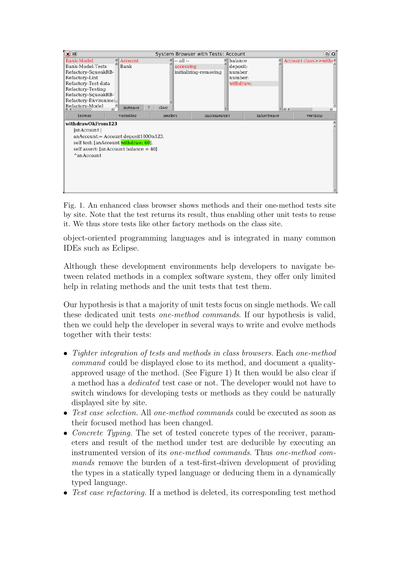

Fig. 1. An enhanced class browser shows methods and their one-method tests site by site. Note that the test returns its result, thus enabling other unit tests to reuse it. We thus store tests like other factory methods on the class site.

object-oriented programming languages and is integrated in many common IDEs such as Eclipse.

Although these development environments help developers to navigate between related methods in a complex software system, they offer only limited help in relating methods and the unit tests that test them.

Our hypothesis is that a majority of unit tests focus on single methods. We call these dedicated unit tests one-method commands. If our hypothesis is valid, then we could help the developer in several ways to write and evolve methods together with their tests:

- Tighter integration of tests and methods in class browsers. Each one-method command could be displayed close to its method, and document a qualityapproved usage of the method. (See Figure 1) It then would be also clear if a method has a dedicated test case or not. The developer would not have to switch windows for developing tests or methods as they could be naturally displayed site by site.
- Test case selection. All one-method commands could be executed as soon as their focused method has been changed.
- Concrete Typing. The set of tested concrete types of the receiver, parameters and result of the method under test are deducible by executing an instrumented version of its one-method commands. Thus one-method commands remove the burden of a test-first-driven development of providing the types in a statically typed language or deducing them in a dynamically typed language.
- Test case refactoring. If a method is deleted, its corresponding test method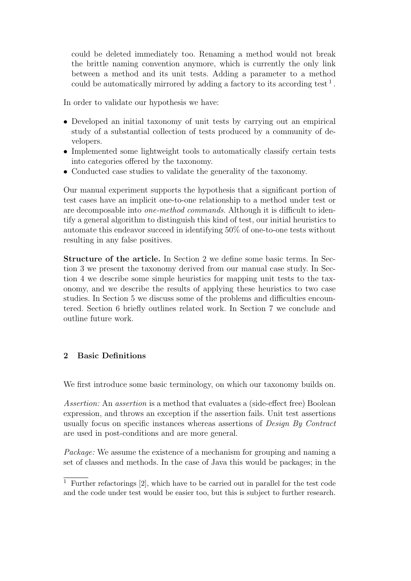could be deleted immediately too. Renaming a method would not break the brittle naming convention anymore, which is currently the only link between a method and its unit tests. Adding a parameter to a method could be automatically mirrored by adding a factory to its according test<sup>1</sup>.

In order to validate our hypothesis we have:

- Developed an initial taxonomy of unit tests by carrying out an empirical study of a substantial collection of tests produced by a community of developers.
- Implemented some lightweight tools to automatically classify certain tests into categories offered by the taxonomy.
- Conducted case studies to validate the generality of the taxonomy.

Our manual experiment supports the hypothesis that a significant portion of test cases have an implicit one-to-one relationship to a method under test or are decomposable into one-method commands. Although it is difficult to identify a general algorithm to distinguish this kind of test, our initial heuristics to automate this endeavor succeed in identifying 50% of one-to-one tests without resulting in any false positives.

Structure of the article. In Section 2 we define some basic terms. In Section 3 we present the taxonomy derived from our manual case study. In Section 4 we describe some simple heuristics for mapping unit tests to the taxonomy, and we describe the results of applying these heuristics to two case studies. In Section 5 we discuss some of the problems and difficulties encountered. Section 6 briefly outlines related work. In Section 7 we conclude and outline future work.

# 2 Basic Definitions

We first introduce some basic terminology, on which our taxonomy builds on.

Assertion: An assertion is a method that evaluates a (side-effect free) Boolean expression, and throws an exception if the assertion fails. Unit test assertions usually focus on specific instances whereas assertions of Design By Contract are used in post-conditions and are more general.

Package: We assume the existence of a mechanism for grouping and naming a set of classes and methods. In the case of Java this would be packages; in the

 $1$  Further refactorings  $[2]$ , which have to be carried out in parallel for the test code and the code under test would be easier too, but this is subject to further research.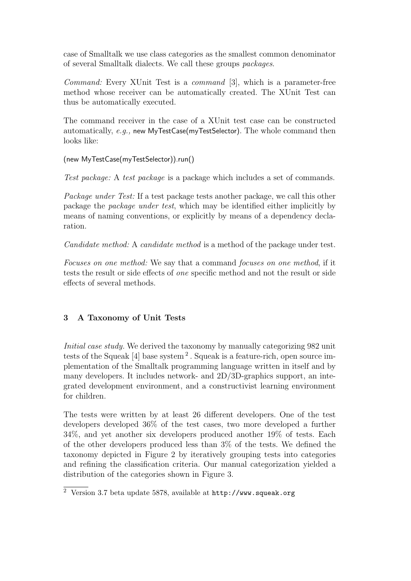case of Smalltalk we use class categories as the smallest common denominator of several Smalltalk dialects. We call these groups packages.

Command: Every XUnit Test is a command [3], which is a parameter-free method whose receiver can be automatically created. The XUnit Test can thus be automatically executed.

The command receiver in the case of a XUnit test case can be constructed automatically, e.g., new MyTestCase(myTestSelector). The whole command then looks like:

(new MyTestCase(myTestSelector)).run()

Test package: A test package is a package which includes a set of commands.

Package under Test: If a test package tests another package, we call this other package the package under test, which may be identified either implicitly by means of naming conventions, or explicitly by means of a dependency declaration.

Candidate method: A candidate method is a method of the package under test.

Focuses on one method: We say that a command focuses on one method, if it tests the result or side effects of one specific method and not the result or side effects of several methods.

# 3 A Taxonomy of Unit Tests

Initial case study. We derived the taxonomy by manually categorizing 982 unit tests of the Squeak [4] base system<sup>2</sup>. Squeak is a feature-rich, open source implementation of the Smalltalk programming language written in itself and by many developers. It includes network- and 2D/3D-graphics support, an integrated development environment, and a constructivist learning environment for children.

The tests were written by at least 26 different developers. One of the test developers developed 36% of the test cases, two more developed a further 34%, and yet another six developers produced another 19% of tests. Each of the other developers produced less than 3% of the tests. We defined the taxonomy depicted in Figure 2 by iteratively grouping tests into categories and refining the classification criteria. Our manual categorization yielded a distribution of the categories shown in Figure 3.

<sup>2</sup> Version 3.7 beta update 5878, available at http://www.squeak.org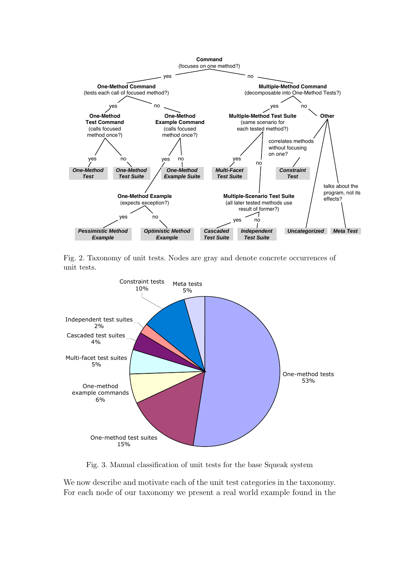

Fig. 2. Taxonomy of unit tests. Nodes are gray and denote concrete occurrences of unit tests.



Fig. 3. Manual classification of unit tests for the base Squeak system

We now describe and motivate each of the unit test categories in the taxonomy. For each node of our taxonomy we present a real world example found in the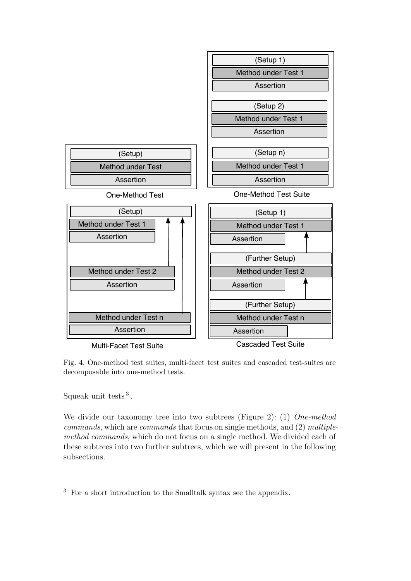

Fig. 4. One-method test suites, multi-facet test suites and cascaded test-suites are decomposable into one-method tests.

Squeak unit tests  $3$ .

We divide our taxonomy tree into two subtrees (Figure 2): (1) One-method commands, which are commands that focus on single methods, and (2) multiplemethod commands, which do not focus on a single method. We divided each of these subtrees into two further subtrees, which we will present in the following subsections.

<sup>3</sup> For a short introduction to the Smalltalk syntax see the appendix.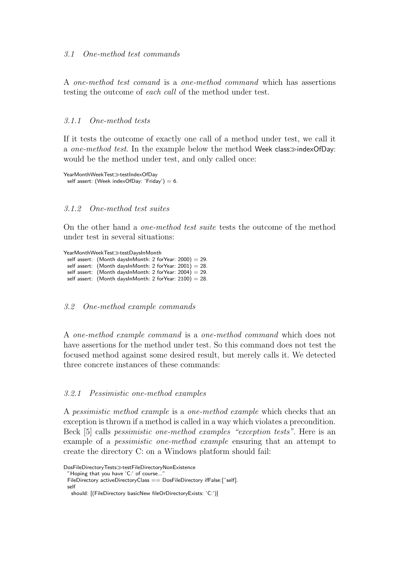#### 3.1 One-method test commands

A one-method test comand is a one-method command which has assertions testing the outcome of each call of the method under test.

#### 3.1.1 One-method tests

If it tests the outcome of exactly one call of a method under test, we call it a one-method test. In the example below the method Week class $\gg$ indexOfDay: would be the method under test, and only called once:

```
YearMonthWeekTest\ggtestIndexOfDay
 self assert: (Week indexOfDay: 'Friday') = 6.
```
### 3.1.2 One-method test suites

On the other hand a one-method test suite tests the outcome of the method under test in several situations:

YearMonthWeekTest $\gg$ testDaysInMonth self assert: (Month daysInMonth: 2 forYear: 2000) = 29. self assert: (Month daysInMonth: 2 for Year:  $2001$ ) = 28. self assert: (Month daysInMonth: 2 forYear:  $2004$ ) = 29. self assert: (Month daysInMonth: 2 forYear:  $2100$ ) = 28.

3.2 One-method example commands

A one-method example command is a one-method command which does not have assertions for the method under test. So this command does not test the focused method against some desired result, but merely calls it. We detected three concrete instances of these commands:

#### 3.2.1 Pessimistic one-method examples

A pessimistic method example is a one-method example which checks that an exception is thrown if a method is called in a way which violates a precondition. Beck [5] calls pessimistic one-method examples "exception tests". Here is an example of a pessimistic one-method example ensuring that an attempt to create the directory C: on a Windows platform should fail:

self

DosFileDirectoryTests $\gg$ testFileDirectoryNonExistence

<sup>&</sup>quot;Hoping that you have 'C:' of course...

FileDirectory activeDirectoryClass == DosFileDirectory ifFalse:[^self].

should: [(FileDirectory basicNew fileOrDirectoryExists: 'C:')]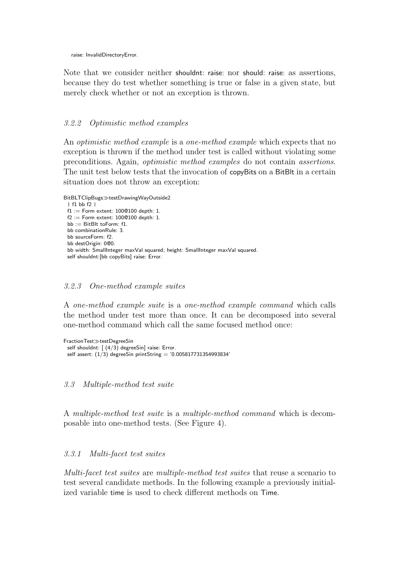raise: InvalidDirectoryError.

Note that we consider neither shouldnt: raise: nor should: raise: as assertions, because they do test whether something is true or false in a given state, but merely check whether or not an exception is thrown.

#### 3.2.2 Optimistic method examples

An *optimistic method example* is a *one-method example* which expects that no exception is thrown if the method under test is called without violating some preconditions. Again, optimistic method examples do not contain assertions. The unit test below tests that the invocation of copyBits on a BitBlt in a certain situation does not throw an exception:

BitBLTClipBugs $\gg$ testDrawingWayOutside2 | f1 bb f2 |  $f1 :=$  Form extent: 100 $@100$  depth: 1.  $f2 :=$  Form extent: 100 $@100$  depth: 1. bb := BitBlt toForm: f1. bb combinationRule: 3. bb sourceForm: f2. bb destOrigin: 0@0. bb width: SmallInteger maxVal squared; height: SmallInteger maxVal squared. self shouldnt:[bb copyBits] raise: Error.

#### 3.2.3 One-method example suites

A one-method example suite is a one-method example command which calls the method under test more than once. It can be decomposed into several one-method command which call the same focused method once:

```
FractionTest\ggtestDegreeSin
 self shouldnt: [ (4/3) degreeSin] raise: Error.
 self assert: (1/3) degreeSin printString = '0.005817731354993834'
```
3.3 Multiple-method test suite

A multiple-method test suite is a multiple-method command which is decomposable into one-method tests. (See Figure 4).

#### 3.3.1 Multi-facet test suites

Multi-facet test suites are multiple-method test suites that reuse a scenario to test several candidate methods. In the following example a previously initialized variable time is used to check different methods on Time.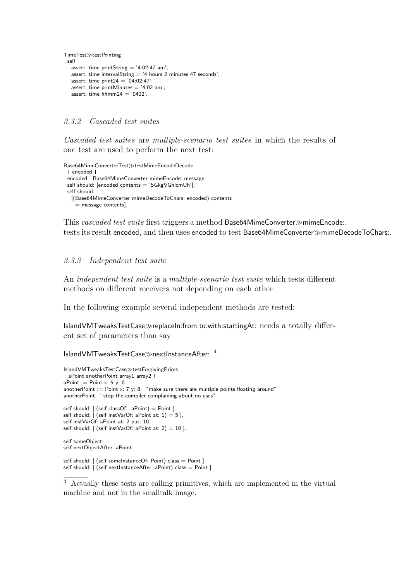```
TimeTest\ggtestPrinting
 self
  assert: time printString = '4:02:47 am';
   assert: time intervalString = '4 hours 2 minutes 47 seconds';
   assert: time print24 = '04:02:47';
   assert: time printMinutes = '4:02 am';
   assert: time hhmm24 = '0402'.
```
#### 3.3.2 Cascaded test suites

Cascaded test suites are multiple-scenario test suites in which the results of one test are used to perform the next test:

```
Base64MimeConverterTest≫testMimeEncodeDecode
 | encoded |
 encoded ˙ Base64MimeConverter mimeEncode: message.
 self should: [encoded contents = 'SGkgVGhlcmUh'].
 self should:
  [(Base64MimeConverter mimeDecodeToChars: encoded) contents
     = message contents].
```
This cascaded test suite first triggers a method Base64MimeConverter $\gg$ mimeEncode:, tests its result encoded, and then uses encoded to test Base64MimeConverter $\gg$ mimeDecodeToChars:.

#### 3.3.3 Independent test suite

An independent test suite is a multiple-scenario test suite which tests different methods on different receivers not depending on each other.

In the following example several independent methods are tested:

IslandVMTweaksTestCase $\gg$ replaceIn:from:to:with:startingAt: needs a totally different set of parameters than say

#### IslandVMTweaksTestCase $\gg$ nextInstanceAfter:  $4$

```
IslandVMTweaksTestCase>testForgivingPrims
| aPoint anotherPoint array1 array2 |
aPoint := Point \times: 5 \text{ y: } 6.anotherPoint := Point x: 7 y: 8. "make sure there are multiple points floating around'
anotherPoint. "stop the compiler complaining about no uses'
self should: [ (self classOf: aPoint) = Point ].
self should: [ (self instVarOf: aPoint at: 1) = 5 ].
self instVarOf: aPoint at: 2 put: 10.
self should: [ (self instVarOf: aPoint at: 2) = 10 ].
self someObject.
self nextObjectAfter: aPoint.
self should: [ (self someInstanceOf: Point) class = Point ].
self should: \int (self nextlnstanceAfter: aPoint) class = Point ].
```
<sup>4</sup> Actually these tests are calling primitives, which are implemented in the virtual machine and not in the smalltalk image.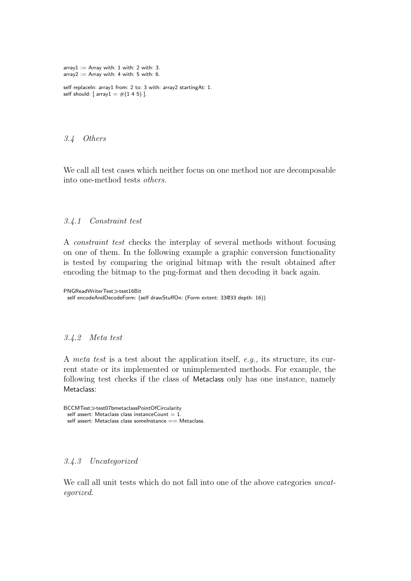```
array1 := Array with: 1 with: 2 with: 3.
array2 := Array with: 4 with: 5 with: 6.
```

```
self replaceIn: array1 from: 2 to: 3 with: array2 startingAt: 1.
self should: [array1 = #(1 4 5)].
```
#### 3.4 Others

We call all test cases which neither focus on one method nor are decomposable into one-method tests others.

#### 3.4.1 Constraint test

A constraint test checks the interplay of several methods without focusing on one of them. In the following example a graphic conversion functionality is tested by comparing the original bitmap with the result obtained after encoding the bitmap to the png-format and then decoding it back again.

PNGReadWriterTest $\gg$ test16Bit self encodeAndDecodeForm: (self drawStuffOn: (Form extent: 33@33 depth: 16))

#### 3.4.2 Meta test

A meta test is a test about the application itself, e.g., its structure, its current state or its implemented or unimplemented methods. For example, the following test checks if the class of Metaclass only has one instance, namely Metaclass:

```
BCCMTest\ggtest07bmetaclassPointOfCircularity
 self assert: Metaclass class instanceCount = 1.
 self assert: Metaclass class someInstance == Metaclass.
```
#### 3.4.3 Uncategorized

We call all unit tests which do not fall into one of the above categories *uncat*egorized.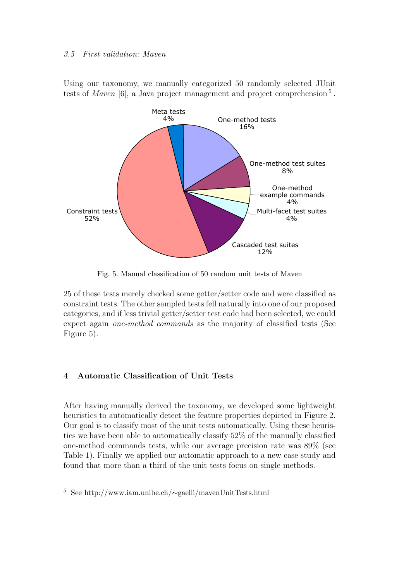#### 3.5 First validation: Maven

Using our taxonomy, we manually categorized 50 randomly selected JUnit tests of *Maven* [6], a Java project management and project comprehension<sup>5</sup>.



Fig. 5. Manual classification of 50 random unit tests of Maven

25 of these tests merely checked some getter/setter code and were classified as constraint tests. The other sampled tests fell naturally into one of our proposed categories, and if less trivial getter/setter test code had been selected, we could expect again one-method commands as the majority of classified tests (See Figure 5).

### 4 Automatic Classification of Unit Tests

After having manually derived the taxonomy, we developed some lightweight heuristics to automatically detect the feature properties depicted in Figure 2. Our goal is to classify most of the unit tests automatically. Using these heuristics we have been able to automatically classify 52% of the manually classified one-method commands tests, while our average precision rate was 89% (see Table 1). Finally we applied our automatic approach to a new case study and found that more than a third of the unit tests focus on single methods.

<sup>5</sup> See http://www.iam.unibe.ch/∼gaelli/mavenUnitTests.html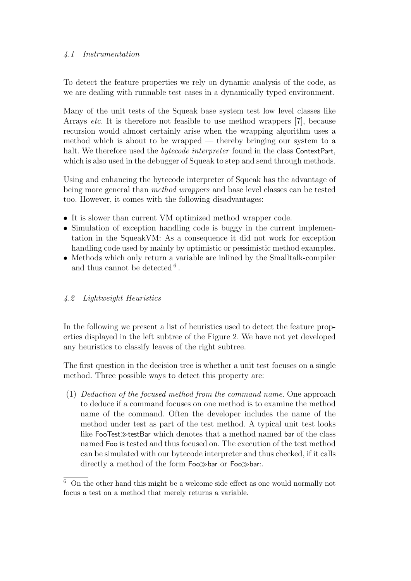## 4.1 Instrumentation

To detect the feature properties we rely on dynamic analysis of the code, as we are dealing with runnable test cases in a dynamically typed environment.

Many of the unit tests of the Squeak base system test low level classes like Arrays etc. It is therefore not feasible to use method wrappers [7], because recursion would almost certainly arise when the wrapping algorithm uses a method which is about to be wrapped — thereby bringing our system to a halt. We therefore used the *bytecode interpreter* found in the class ContextPart, which is also used in the debugger of Squeak to step and send through methods.

Using and enhancing the bytecode interpreter of Squeak has the advantage of being more general than method wrappers and base level classes can be tested too. However, it comes with the following disadvantages:

- It is slower than current VM optimized method wrapper code.
- Simulation of exception handling code is buggy in the current implementation in the SqueakVM: As a consequence it did not work for exception handling code used by mainly by optimistic or pessimistic method examples.
- Methods which only return a variable are inlined by the Smalltalk-compiler and thus cannot be detected  $6$ .

# 4.2 Lightweight Heuristics

In the following we present a list of heuristics used to detect the feature properties displayed in the left subtree of the Figure 2. We have not yet developed any heuristics to classify leaves of the right subtree.

The first question in the decision tree is whether a unit test focuses on a single method. Three possible ways to detect this property are:

(1) Deduction of the focused method from the command name. One approach to deduce if a command focuses on one method is to examine the method name of the command. Often the developer includes the name of the method under test as part of the test method. A typical unit test looks like FooTest $\gg$ testBar which denotes that a method named bar of the class named Foo is tested and thus focused on. The execution of the test method can be simulated with our bytecode interpreter and thus checked, if it calls directly a method of the form Foo $\gg$ bar or Foo $\gg$ bar:.

 $6$  On the other hand this might be a welcome side effect as one would normally not focus a test on a method that merely returns a variable.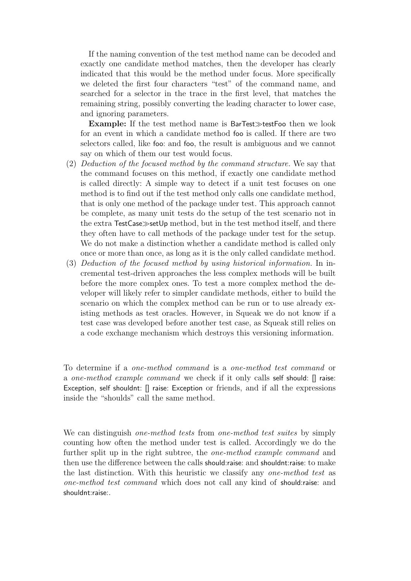If the naming convention of the test method name can be decoded and exactly one candidate method matches, then the developer has clearly indicated that this would be the method under focus. More specifically we deleted the first four characters "test" of the command name, and searched for a selector in the trace in the first level, that matches the remaining string, possibly converting the leading character to lower case, and ignoring parameters.

Example: If the test method name is BarTest $\gg$ testFoo then we look for an event in which a candidate method foo is called. If there are two selectors called, like foo: and foo, the result is ambiguous and we cannot say on which of them our test would focus.

- (2) Deduction of the focused method by the command structure. We say that the command focuses on this method, if exactly one candidate method is called directly: A simple way to detect if a unit test focuses on one method is to find out if the test method only calls one candidate method, that is only one method of the package under test. This approach cannot be complete, as many unit tests do the setup of the test scenario not in the extra  $TestCase \gg setUp$  method, but in the test method itself, and there they often have to call methods of the package under test for the setup. We do not make a distinction whether a candidate method is called only once or more than once, as long as it is the only called candidate method.
- (3) Deduction of the focused method by using historical information. In incremental test-driven approaches the less complex methods will be built before the more complex ones. To test a more complex method the developer will likely refer to simpler candidate methods, either to build the scenario on which the complex method can be run or to use already existing methods as test oracles. However, in Squeak we do not know if a test case was developed before another test case, as Squeak still relies on a code exchange mechanism which destroys this versioning information.

To determine if a one-method command is a one-method test command or a one-method example command we check if it only calls self should: [] raise: Exception, self shouldnt: [] raise: Exception or friends, and if all the expressions inside the "shoulds" call the same method.

We can distinguish *one-method tests* from *one-method test suites* by simply counting how often the method under test is called. Accordingly we do the further split up in the right subtree, the one-method example command and then use the difference between the calls should:raise: and shouldnt:raise: to make the last distinction. With this heuristic we classify any one-method test as one-method test command which does not call any kind of should:raise: and shouldnt:raise:.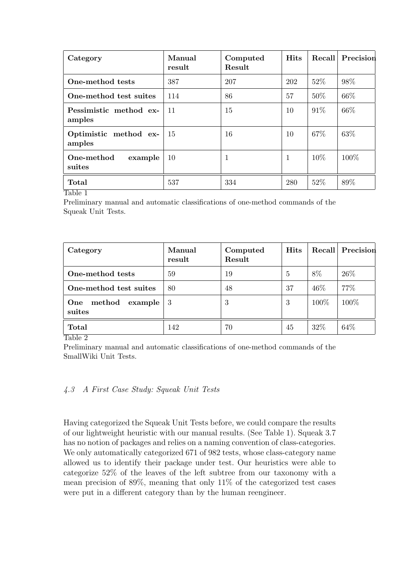| Category                         | Manual<br>result | Computed<br>Result | <b>Hits</b>  | Recall | Precision |
|----------------------------------|------------------|--------------------|--------------|--------|-----------|
| One-method tests                 | 387              | 207                | 202          | 52\%   | 98%       |
| One-method test suites           | 114              | 86                 | 57           | 50%    | 66\%      |
| Pessimistic method ex-<br>amples | 11               | 15                 | 10           | 91\%   | 66%       |
| Optimistic method ex-<br>amples  | -15              | 16                 | 10           | 67%    | 63%       |
| One-method<br>example<br>suites  | 10               | -1                 | $\mathbf{1}$ | 10%    | 100\%     |
| <b>Total</b>                     | 537              | 334                | 280          | 52%    | 89%       |

Table 1

Preliminary manual and automatic classifications of one-method commands of the Squeak Unit Tests.

| Category                           | Manual<br>result | Computed<br>Result | <b>Hits</b> | Recall | Precision |
|------------------------------------|------------------|--------------------|-------------|--------|-----------|
| One-method tests                   | 59               | 19                 | 5           | 8%     | 26\%      |
| One-method test suites             | 80               | 48                 | 37          | 46\%   | 77%       |
| method<br>One<br>example<br>suites | 3                | 3                  | 3           | 100%   | 100%      |
| <b>Total</b>                       | 142              | 70                 | 45          | 32%    | 64\%      |

Table 2

Preliminary manual and automatic classifications of one-method commands of the SmallWiki Unit Tests.

### 4.3 A First Case Study: Squeak Unit Tests

Having categorized the Squeak Unit Tests before, we could compare the results of our lightweight heuristic with our manual results. (See Table 1). Squeak 3.7 has no notion of packages and relies on a naming convention of class-categories. We only automatically categorized 671 of 982 tests, whose class-category name allowed us to identify their package under test. Our heuristics were able to categorize 52% of the leaves of the left subtree from our taxonomy with a mean precision of 89%, meaning that only 11% of the categorized test cases were put in a different category than by the human reengineer.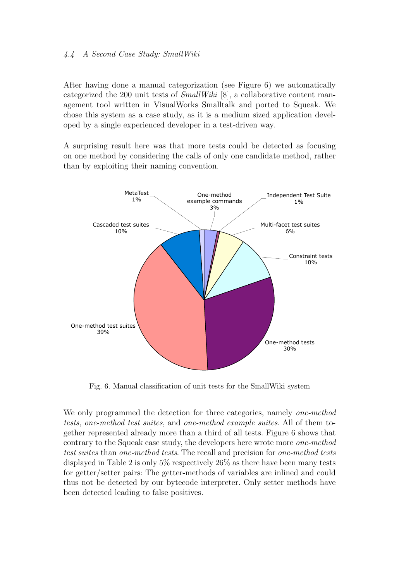### 4.4 A Second Case Study: SmallWiki

After having done a manual categorization (see Figure 6) we automatically categorized the 200 unit tests of  $SmallWiki$  [8], a collaborative content management tool written in VisualWorks Smalltalk and ported to Squeak. We chose this system as a case study, as it is a medium sized application developed by a single experienced developer in a test-driven way.

A surprising result here was that more tests could be detected as focusing on one method by considering the calls of only one candidate method, rather than by exploiting their naming convention.



Fig. 6. Manual classification of unit tests for the SmallWiki system

We only programmed the detection for three categories, namely one-method tests, one-method test suites, and one-method example suites. All of them together represented already more than a third of all tests. Figure 6 shows that contrary to the Squeak case study, the developers here wrote more one-method test suites than one-method tests. The recall and precision for one-method tests displayed in Table 2 is only 5% respectively 26% as there have been many tests for getter/setter pairs: The getter-methods of variables are inlined and could thus not be detected by our bytecode interpreter. Only setter methods have been detected leading to false positives.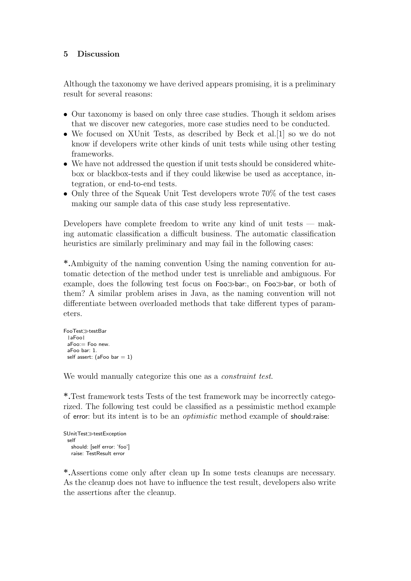# 5 Discussion

Although the taxonomy we have derived appears promising, it is a preliminary result for several reasons:

- Our taxonomy is based on only three case studies. Though it seldom arises that we discover new categories, more case studies need to be conducted.
- We focused on XUnit Tests, as described by Beck et al. [1] so we do not know if developers write other kinds of unit tests while using other testing frameworks.
- We have not addressed the question if unit tests should be considered whitebox or blackbox-tests and if they could likewise be used as acceptance, integration, or end-to-end tests.
- Only three of the Squeak Unit Test developers wrote 70% of the test cases making our sample data of this case study less representative.

Developers have complete freedom to write any kind of unit tests — making automatic classification a difficult business. The automatic classification heuristics are similarly preliminary and may fail in the following cases:

\*.Ambiguity of the naming convention Using the naming convention for automatic detection of the method under test is unreliable and ambiguous. For example, does the following test focus on  $Foo \gg bar$ ; on  $Foo \gg bar$ , or both of them? A similar problem arises in Java, as the naming convention will not differentiate between overloaded methods that take different types of parameters.

```
FooTest\geqtestBar|aFoo|
 aFoo:= Foo new.
 aFoo bar: 1.
 self assert: (aFoo bar = 1)
```
We would manually categorize this one as a *constraint test*.

\*.Test framework tests Tests of the test framework may be incorrectly categorized. The following test could be classified as a pessimistic method example of error: but its intent is to be an optimistic method example of should:raise:

```
SUnitTest≫testException
 self
   should: [self error: 'foo']
   raise: TestResult error
```
\*.Assertions come only after clean up In some tests cleanups are necessary. As the cleanup does not have to influence the test result, developers also write the assertions after the cleanup.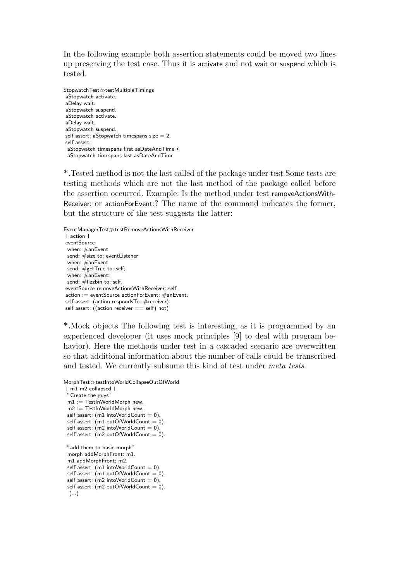In the following example both assertion statements could be moved two lines up preserving the test case. Thus it is activate and not wait or suspend which is tested.

StopwatchTest $\gg$ testMultipleTimings aStopwatch activate. aDelay wait. aStopwatch suspend. aStopwatch activate. aDelay wait. aStopwatch suspend. self assert: aStopwatch timespans size  $= 2$ . self assert: aStopwatch timespans first asDateAndTime < aStopwatch timespans last asDateAndTime

\*.Tested method is not the last called of the package under test Some tests are testing methods which are not the last method of the package called before the assertion occurred. Example: Is the method under test removeActionsWith-Receiver: or actionForEvent:? The name of the command indicates the former, but the structure of the test suggests the latter:

EventManagerTest $\gg$ testRemoveActionsWithReceiver | action | eventSource when: #anEvent send: #size to: eventListener; when: #anEvent send: #getTrue to: self; when: #anEvent: send: #fizzbin to: self. eventSource removeActionsWithReceiver: self. action := eventSource actionForEvent: #anEvent. self assert: (action respondsTo: #receiver). self assert:  $($ (action receiver  $==$  self) not)

\*.Mock objects The following test is interesting, as it is programmed by an experienced developer (it uses mock principles [9] to deal with program behavior). Here the methods under test in a cascaded scenario are overwritten so that additional information about the number of calls could be transcribed and tested. We currently subsume this kind of test under meta tests.

```
MorphTest\ggtestIntoWorldCollapseOutOfWorld
```

```
| m1 m2 collapsed |
"Create the guys"
m1 := \text{TestInWorldMorph new}.m2 := TestInWorldMorph new.
self assert: (m1 intoWorldCount = 0).
self assert: (m1 outOfWorldCount = 0).
self assert: (m2 \text{ intoWorldCount} = 0).
self assert: (m2 outOfWorldCount = 0).
"add them to basic morph"
morph addMorphFront: m1
m1 addMorphFront: m2.
self assert: (m1 intoWorldCount = 0).
self assert: (m1 outOfWorldCount = 0).
self assert: (m2 \text{ intoWorldCount} = 0).
self assert: (m2 outOfWorldCount = 0).
 (...)
```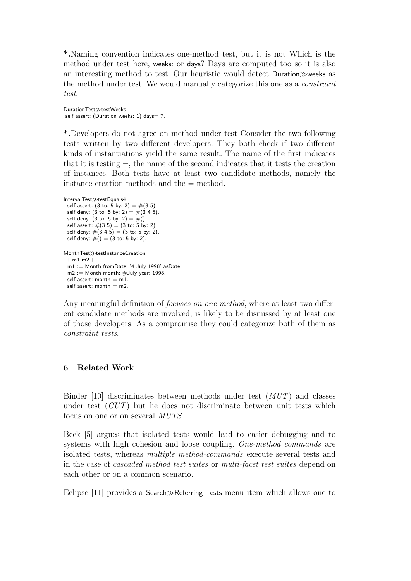\*.Naming convention indicates one-method test, but it is not Which is the method under test here, weeks: or days? Days are computed too so it is also an interesting method to test. Our heuristic would detect Duration weeks as the method under test. We would manually categorize this one as a constraint test.

DurationTest<sup>></sup>testWeeks self assert: (Duration weeks: 1) days= 7.

\*.Developers do not agree on method under test Consider the two following tests written by two different developers: They both check if two different kinds of instantiations yield the same result. The name of the first indicates that it is testing  $=$ , the name of the second indicates that it tests the creation of instances. Both tests have at least two candidate methods, namely the instance creation methods and the = method.

```
IntervalTest\ggtestEquals4
 self assert: (3 \text{ to: } 5 \text{ by: } 2) = \#(3 \text{ 5}).self deny: (3 \text{ to: } 5 \text{ by: } 2) = \#(3 \text{ 4 } 5).self deny: (3 to: 5 by: 2) = \#().
  self assert: \#(3\;5) = (3\; \text{to} \; 5\; \text{by} \; 2).
  self deny: \#(3\;4\;5) = (3\; \text{to:}\; 5\; \text{by:}\; 2).
 self deny: \#() = (3 \text{ to: } 5 \text{ by: } 2).
MonthTest\ggtestInstanceCreation
  | m1 m2 |
  m1 := Month fromDate: '4 July 1998' asDate.
  m2 := Month month: \#July year: 1998.
  self assert: month = m1.
  self assert: month = m?
```
Any meaningful definition of *focuses on one method*, where at least two different candidate methods are involved, is likely to be dismissed by at least one of those developers. As a compromise they could categorize both of them as constraint tests.

### 6 Related Work

Binder [10] discriminates between methods under test (MUT) and classes under test  $(CUT)$  but he does not discriminate between unit tests which focus on one or on several MUTS.

Beck [5] argues that isolated tests would lead to easier debugging and to systems with high cohesion and loose coupling. One-method commands are isolated tests, whereas multiple method-commands execute several tests and in the case of cascaded method test suites or multi-facet test suites depend on each other or on a common scenario.

Eclipse  $[11]$  provides a Search $\gg$ Referring Tests menu item which allows one to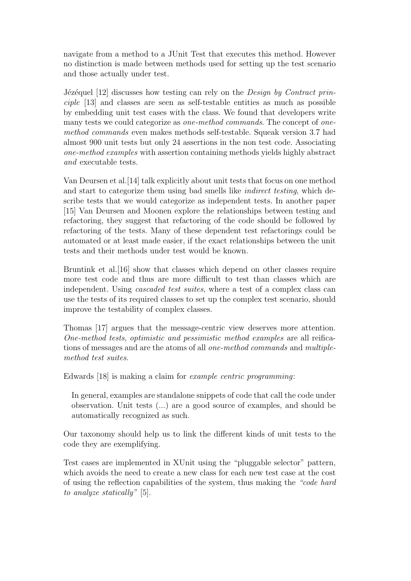navigate from a method to a JUnit Test that executes this method. However no distinction is made between methods used for setting up the test scenario and those actually under test.

Jézéquel  $[12]$  discusses how testing can rely on the *Design by Contract prin*ciple [13] and classes are seen as self-testable entities as much as possible by embedding unit test cases with the class. We found that developers write many tests we could categorize as *one-method commands*. The concept of *one*method commands even makes methods self-testable. Squeak version 3.7 had almost 900 unit tests but only 24 assertions in the non test code. Associating one-method examples with assertion containing methods yields highly abstract and executable tests.

Van Deursen et al.[14] talk explicitly about unit tests that focus on one method and start to categorize them using bad smells like indirect testing, which describe tests that we would categorize as independent tests. In another paper [15] Van Deursen and Moonen explore the relationships between testing and refactoring, they suggest that refactoring of the code should be followed by refactoring of the tests. Many of these dependent test refactorings could be automated or at least made easier, if the exact relationships between the unit tests and their methods under test would be known.

Bruntink et al.[16] show that classes which depend on other classes require more test code and thus are more difficult to test than classes which are independent. Using *cascaded test suites*, where a test of a complex class can use the tests of its required classes to set up the complex test scenario, should improve the testability of complex classes.

Thomas [17] argues that the message-centric view deserves more attention. One-method tests, optimistic and pessimistic method examples are all reifications of messages and are the atoms of all one-method commands and multiplemethod test suites.

Edwards [18] is making a claim for example centric programming:

In general, examples are standalone snippets of code that call the code under observation. Unit tests (...) are a good source of examples, and should be automatically recognized as such.

Our taxonomy should help us to link the different kinds of unit tests to the code they are exemplifying.

Test cases are implemented in XUnit using the "pluggable selector" pattern, which avoids the need to create a new class for each new test case at the cost of using the reflection capabilities of the system, thus making the "code hard to analyze statically" [5].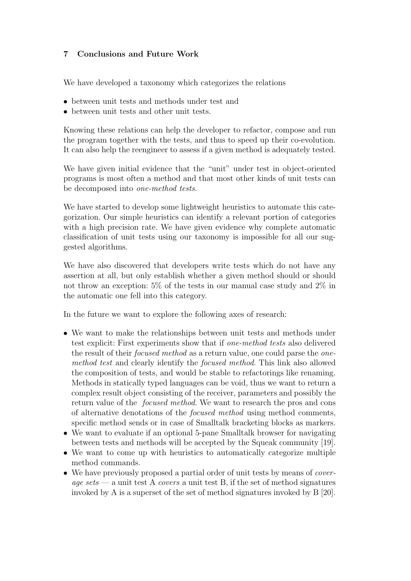# 7 Conclusions and Future Work

We have developed a taxonomy which categorizes the relations

- between unit tests and methods under test and
- between unit tests and other unit tests.

Knowing these relations can help the developer to refactor, compose and run the program together with the tests, and thus to speed up their co-evolution. It can also help the reengineer to assess if a given method is adequately tested.

We have given initial evidence that the "unit" under test in object-oriented programs is most often a method and that most other kinds of unit tests can be decomposed into one-method tests.

We have started to develop some lightweight heuristics to automate this categorization. Our simple heuristics can identify a relevant portion of categories with a high precision rate. We have given evidence why complete automatic classification of unit tests using our taxonomy is impossible for all our suggested algorithms.

We have also discovered that developers write tests which do not have any assertion at all, but only establish whether a given method should or should not throw an exception: 5% of the tests in our manual case study and 2% in the automatic one fell into this category.

In the future we want to explore the following axes of research:

- We want to make the relationships between unit tests and methods under test explicit: First experiments show that if one-method tests also delivered the result of their focused method as a return value, one could parse the onemethod test and clearly identify the focused method. This link also allowed the composition of tests, and would be stable to refactorings like renaming. Methods in statically typed languages can be void, thus we want to return a complex result object consisting of the receiver, parameters and possibly the return value of the focused method. We want to research the pros and cons of alternative denotations of the focused method using method comments, specific method sends or in case of Smalltalk bracketing blocks as markers.
- We want to evaluate if an optional 5-pane Smalltalk browser for navigating between tests and methods will be accepted by the Squeak community [19].
- We want to come up with heuristics to automatically categorize multiple method commands.
- We have previously proposed a partial order of unit tests by means of *cover*age sets — a unit test A covers a unit test B, if the set of method signatures invoked by A is a superset of the set of method signatures invoked by B [20].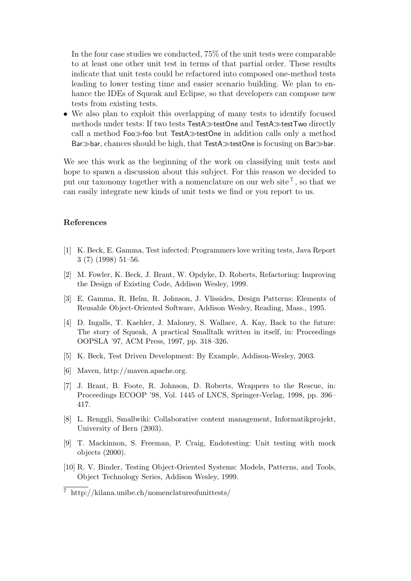In the four case studies we conducted, 75% of the unit tests were comparable to at least one other unit test in terms of that partial order. These results indicate that unit tests could be refactored into composed one-method tests leading to lower testing time and easier scenario building. We plan to enhance the IDEs of Squeak and Eclipse, so that developers can compose new tests from existing tests.

• We also plan to exploit this overlapping of many tests to identify focused methods under tests: If two tests  $TestA\gg testOne$  and  $TestA\gg testTwo$  directly call a method  $Foo\gg$  foo but TestA $\gg$ testOne in addition calls only a method Bar $\gg$ bar, chances should be high, that TestA $\gg$ testOne is focusing on Bar $\gg$ bar.

We see this work as the beginning of the work on classifying unit tests and hope to spawn a discussion about this subject. For this reason we decided to put our taxonomy together with a nomenclature on our web site<sup>7</sup>, so that we can easily integrate new kinds of unit tests we find or you report to us.

#### References

- [1] K. Beck, E. Gamma, Test infected: Programmers love writing tests, Java Report 3 (7) (1998) 51–56.
- [2] M. Fowler, K. Beck, J. Brant, W. Opdyke, D. Roberts, Refactoring: Improving the Design of Existing Code, Addison Wesley, 1999.
- [3] E. Gamma, R. Helm, R. Johnson, J. Vlissides, Design Patterns: Elements of Reusable Object-Oriented Software, Addison Wesley, Reading, Mass., 1995.
- [4] D. Ingalls, T. Kaehler, J. Maloney, S. Wallace, A. Kay, Back to the future: The story of Squeak, A practical Smalltalk written in itself, in: Proceedings OOPSLA '97, ACM Press, 1997, pp. 318–326.
- [5] K. Beck, Test Driven Development: By Example, Addison-Wesley, 2003.
- [6] Maven, http://maven.apache.org.
- [7] J. Brant, B. Foote, R. Johnson, D. Roberts, Wrappers to the Rescue, in: Proceedings ECOOP '98, Vol. 1445 of LNCS, Springer-Verlag, 1998, pp. 396– 417.
- [8] L. Renggli, Smallwiki: Collaborative content management, Informatikprojekt, University of Bern (2003).
- [9] T. Mackinnon, S. Freeman, P. Craig, Endotesting: Unit testing with mock objects (2000).
- [10] R. V. Binder, Testing Object-Oriented Systems: Models, Patterns, and Tools, Object Technology Series, Addison Wesley, 1999.

<sup>7</sup> http://kilana.unibe.ch/nomenclatureofunittests/